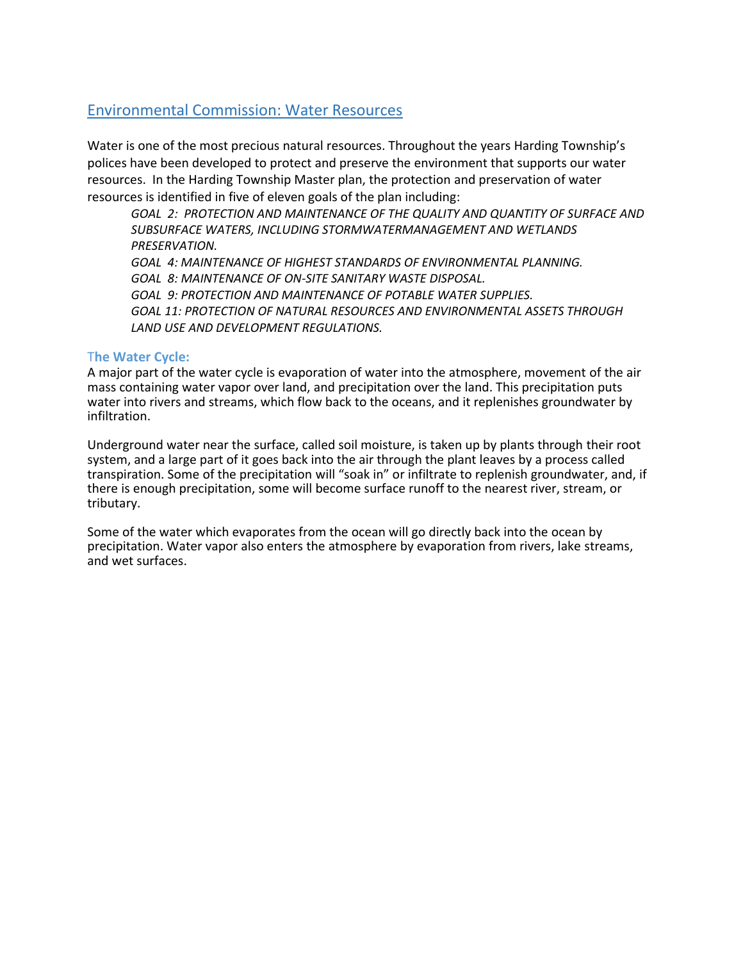### Environmental Commission: Water Resources

Water is one of the most precious natural resources. Throughout the years Harding Township's polices have been developed to protect and preserve the environment that supports our water resources. In the Harding Township Master plan, the protection and preservation of water resources is identified in five of eleven goals of the plan including:

*GOAL 2: PROTECTION AND MAINTENANCE OF THE QUALITY AND QUANTITY OF SURFACE AND SUBSURFACE WATERS, INCLUDING STORMWATERMANAGEMENT AND WETLANDS PRESERVATION. GOAL 4: MAINTENANCE OF HIGHEST STANDARDS OF ENVIRONMENTAL PLANNING. GOAL 8: MAINTENANCE OF ON-SITE SANITARY WASTE DISPOSAL. GOAL 9: PROTECTION AND MAINTENANCE OF POTABLE WATER SUPPLIES. GOAL 11: PROTECTION OF NATURAL RESOURCES AND ENVIRONMENTAL ASSETS THROUGH LAND USE AND DEVELOPMENT REGULATIONS.*

#### T**he Water Cycle:**

A major part of the water cycle is evaporation of water into the atmosphere, movement of the air mass containing water vapor over land, and precipitation over the land. This precipitation puts water into rivers and streams, which flow back to the oceans, and it replenishes groundwater by infiltration.

Underground water near the surface, called soil moisture, is taken up by plants through their root system, and a large part of it goes back into the air through the plant leaves by a process called transpiration. Some of the precipitation will "soak in" or infiltrate to replenish groundwater, and, if there is enough precipitation, some will become surface runoff to the nearest river, stream, or tributary.

Some of the water which evaporates from the ocean will go directly back into the ocean by precipitation. Water vapor also enters the atmosphere by evaporation from rivers, lake streams, and wet surfaces.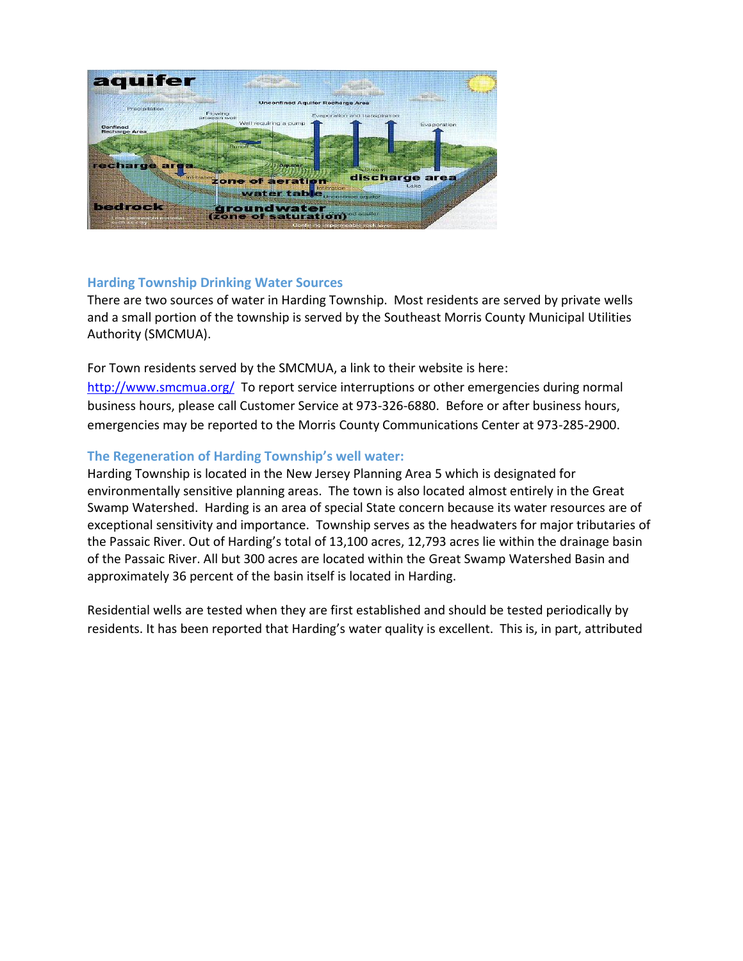

#### **Harding Township Drinking Water Sources**

There are two sources of water in Harding Township. Most residents are served by private wells and a small portion of the township is served by the Southeast Morris County Municipal Utilities Authority (SMCMUA).

For Town residents served by the SMCMUA, a link to their website is here: <http://www.smcmua.org/>To report service interruptions or other emergencies during normal business hours, please call Customer Service at 973-326-6880. Before or after business hours, emergencies may be reported to the Morris County Communications Center at 973-285-2900.

#### **The Regeneration of Harding Township's well water:**

Harding Township is located in the New Jersey Planning Area 5 which is designated for environmentally sensitive planning areas. The town is also located almost entirely in the Great Swamp Watershed. Harding is an area of special State concern because its water resources are of exceptional sensitivity and importance. Township serves as the headwaters for major tributaries of the Passaic River. Out of Harding's total of 13,100 acres, 12,793 acres lie within the drainage basin of the Passaic River. All but 300 acres are located within the Great Swamp Watershed Basin and approximately 36 percent of the basin itself is located in Harding.

Residential wells are tested when they are first established and should be tested periodically by residents. It has been reported that Harding's water quality is excellent. This is, in part, attributed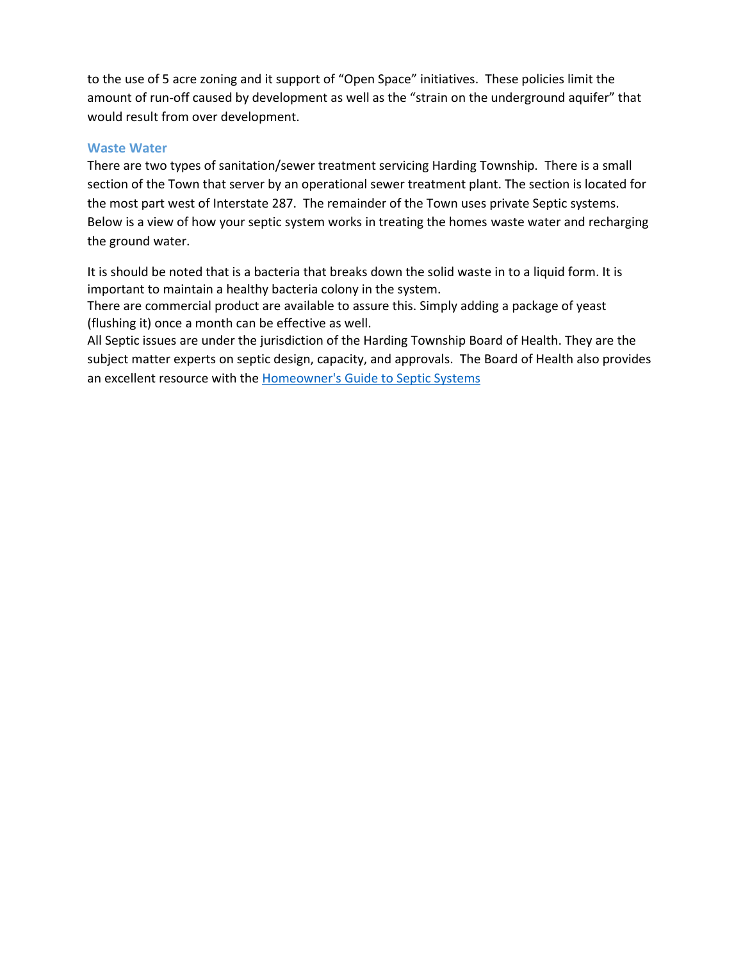to the use of 5 acre zoning and it support of "Open Space" initiatives. These policies limit the amount of run-off caused by development as well as the "strain on the underground aquifer" that would result from over development.

#### **Waste Water**

There are two types of sanitation/sewer treatment servicing Harding Township. There is a small section of the Town that server by an operational sewer treatment plant. The section is located for the most part west of Interstate 287. The remainder of the Town uses private Septic systems. Below is a view of how your septic system works in treating the homes waste water and recharging the ground water.

It is should be noted that is a bacteria that breaks down the solid waste in to a liquid form. It is important to maintain a healthy bacteria colony in the system.

There are commercial product are available to assure this. Simply adding a package of yeast (flushing it) once a month can be effective as well.

All Septic issues are under the jurisdiction of the Harding Township Board of Health. They are the subject matter experts on septic design, capacity, and approvals. The Board of Health also provides an excellent resource with the [Homeowner's Guide to Septic Systems](http://www.hardingnj.org/content/1068/176/default.aspx)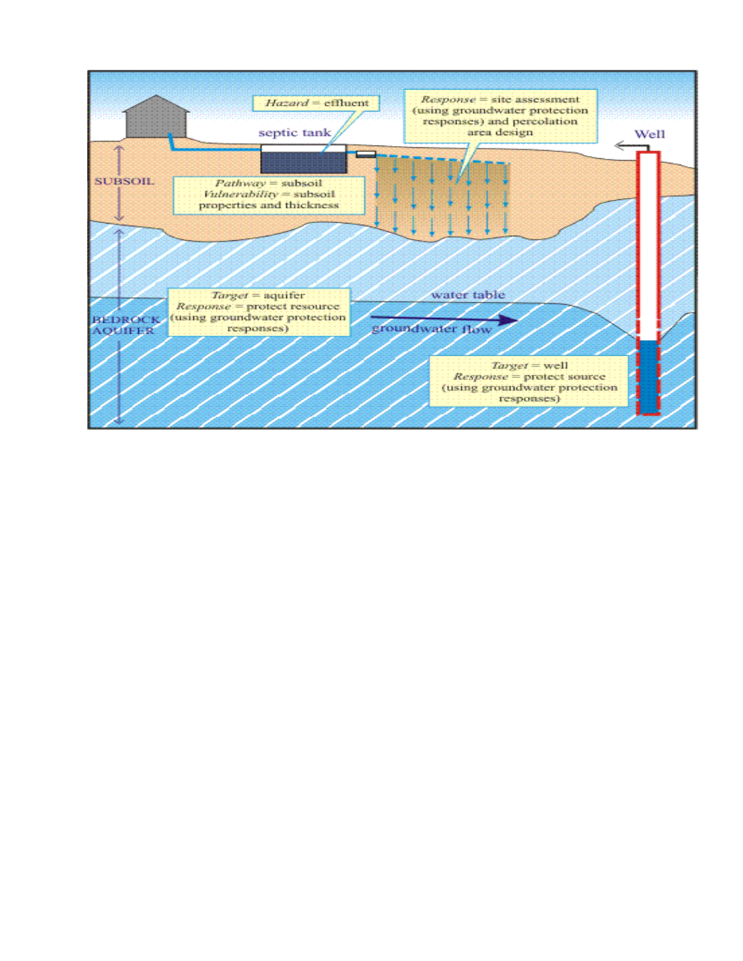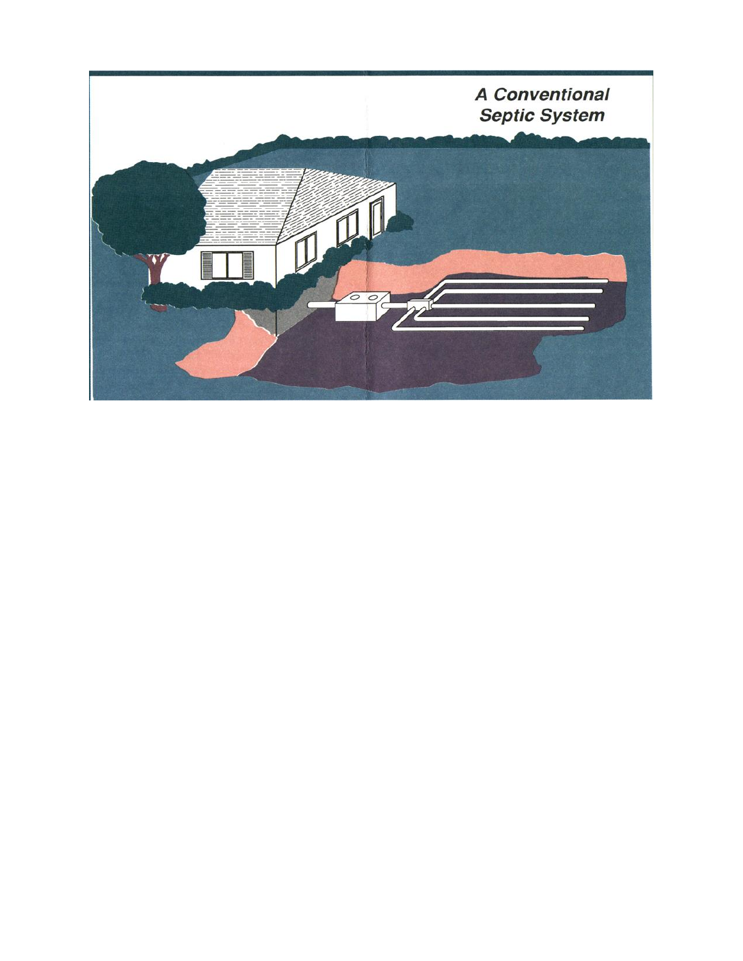